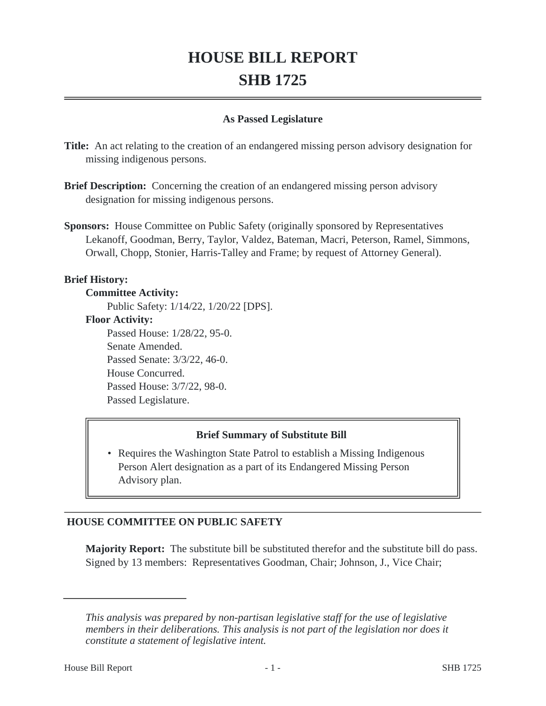# **HOUSE BILL REPORT SHB 1725**

## **As Passed Legislature**

**Title:** An act relating to the creation of an endangered missing person advisory designation for missing indigenous persons.

- **Brief Description:** Concerning the creation of an endangered missing person advisory designation for missing indigenous persons.
- **Sponsors:** House Committee on Public Safety (originally sponsored by Representatives Lekanoff, Goodman, Berry, Taylor, Valdez, Bateman, Macri, Peterson, Ramel, Simmons, Orwall, Chopp, Stonier, Harris-Talley and Frame; by request of Attorney General).

#### **Brief History:**

**Committee Activity:** Public Safety: 1/14/22, 1/20/22 [DPS]. **Floor Activity:** Passed House: 1/28/22, 95-0. Senate Amended. Passed Senate: 3/3/22, 46-0. House Concurred. Passed House: 3/7/22, 98-0. Passed Legislature.

## **Brief Summary of Substitute Bill**

• Requires the Washington State Patrol to establish a Missing Indigenous Person Alert designation as a part of its Endangered Missing Person Advisory plan.

## **HOUSE COMMITTEE ON PUBLIC SAFETY**

**Majority Report:** The substitute bill be substituted therefor and the substitute bill do pass. Signed by 13 members: Representatives Goodman, Chair; Johnson, J., Vice Chair;

*This analysis was prepared by non-partisan legislative staff for the use of legislative members in their deliberations. This analysis is not part of the legislation nor does it constitute a statement of legislative intent.*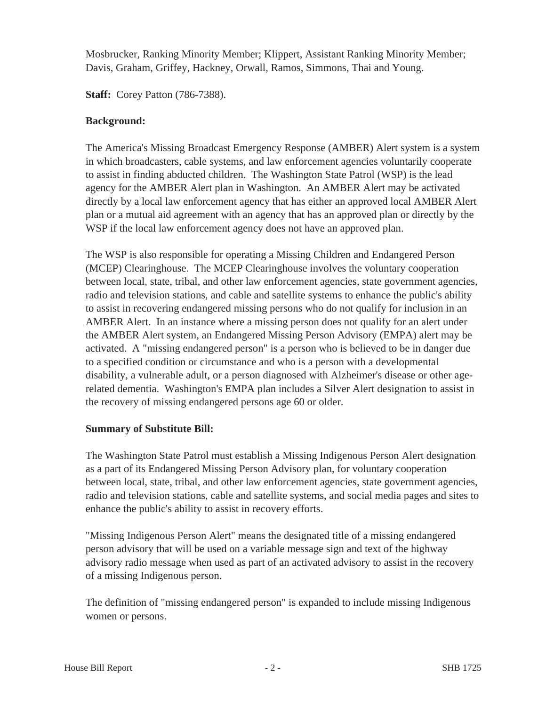Mosbrucker, Ranking Minority Member; Klippert, Assistant Ranking Minority Member; Davis, Graham, Griffey, Hackney, Orwall, Ramos, Simmons, Thai and Young.

**Staff:** Corey Patton (786-7388).

## **Background:**

The America's Missing Broadcast Emergency Response (AMBER) Alert system is a system in which broadcasters, cable systems, and law enforcement agencies voluntarily cooperate to assist in finding abducted children. The Washington State Patrol (WSP) is the lead agency for the AMBER Alert plan in Washington. An AMBER Alert may be activated directly by a local law enforcement agency that has either an approved local AMBER Alert plan or a mutual aid agreement with an agency that has an approved plan or directly by the WSP if the local law enforcement agency does not have an approved plan.

The WSP is also responsible for operating a Missing Children and Endangered Person (MCEP) Clearinghouse. The MCEP Clearinghouse involves the voluntary cooperation between local, state, tribal, and other law enforcement agencies, state government agencies, radio and television stations, and cable and satellite systems to enhance the public's ability to assist in recovering endangered missing persons who do not qualify for inclusion in an AMBER Alert. In an instance where a missing person does not qualify for an alert under the AMBER Alert system, an Endangered Missing Person Advisory (EMPA) alert may be activated. A "missing endangered person" is a person who is believed to be in danger due to a specified condition or circumstance and who is a person with a developmental disability, a vulnerable adult, or a person diagnosed with Alzheimer's disease or other agerelated dementia. Washington's EMPA plan includes a Silver Alert designation to assist in the recovery of missing endangered persons age 60 or older.

## **Summary of Substitute Bill:**

The Washington State Patrol must establish a Missing Indigenous Person Alert designation as a part of its Endangered Missing Person Advisory plan, for voluntary cooperation between local, state, tribal, and other law enforcement agencies, state government agencies, radio and television stations, cable and satellite systems, and social media pages and sites to enhance the public's ability to assist in recovery efforts.

"Missing Indigenous Person Alert" means the designated title of a missing endangered person advisory that will be used on a variable message sign and text of the highway advisory radio message when used as part of an activated advisory to assist in the recovery of a missing Indigenous person.

The definition of "missing endangered person" is expanded to include missing Indigenous women or persons.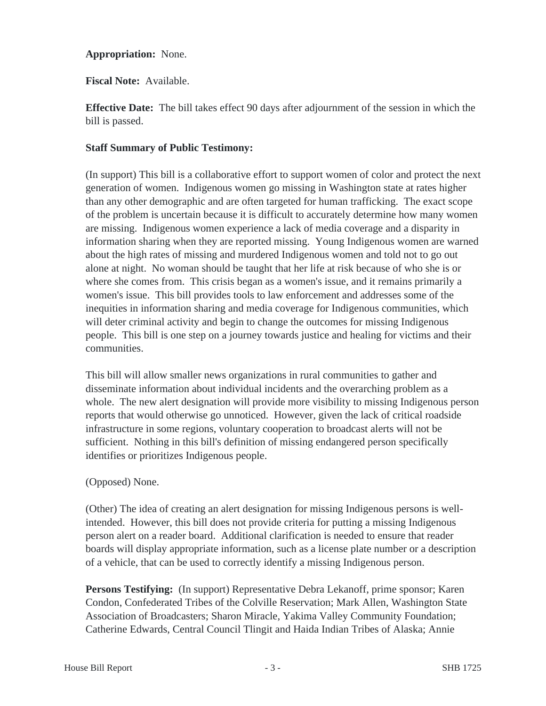## **Appropriation:** None.

**Fiscal Note:** Available.

**Effective Date:** The bill takes effect 90 days after adjournment of the session in which the bill is passed.

## **Staff Summary of Public Testimony:**

(In support) This bill is a collaborative effort to support women of color and protect the next generation of women. Indigenous women go missing in Washington state at rates higher than any other demographic and are often targeted for human trafficking. The exact scope of the problem is uncertain because it is difficult to accurately determine how many women are missing. Indigenous women experience a lack of media coverage and a disparity in information sharing when they are reported missing. Young Indigenous women are warned about the high rates of missing and murdered Indigenous women and told not to go out alone at night. No woman should be taught that her life at risk because of who she is or where she comes from. This crisis began as a women's issue, and it remains primarily a women's issue. This bill provides tools to law enforcement and addresses some of the inequities in information sharing and media coverage for Indigenous communities, which will deter criminal activity and begin to change the outcomes for missing Indigenous people. This bill is one step on a journey towards justice and healing for victims and their communities.

This bill will allow smaller news organizations in rural communities to gather and disseminate information about individual incidents and the overarching problem as a whole. The new alert designation will provide more visibility to missing Indigenous person reports that would otherwise go unnoticed. However, given the lack of critical roadside infrastructure in some regions, voluntary cooperation to broadcast alerts will not be sufficient. Nothing in this bill's definition of missing endangered person specifically identifies or prioritizes Indigenous people.

## (Opposed) None.

(Other) The idea of creating an alert designation for missing Indigenous persons is wellintended. However, this bill does not provide criteria for putting a missing Indigenous person alert on a reader board. Additional clarification is needed to ensure that reader boards will display appropriate information, such as a license plate number or a description of a vehicle, that can be used to correctly identify a missing Indigenous person.

**Persons Testifying:** (In support) Representative Debra Lekanoff, prime sponsor; Karen Condon, Confederated Tribes of the Colville Reservation; Mark Allen, Washington State Association of Broadcasters; Sharon Miracle, Yakima Valley Community Foundation; Catherine Edwards, Central Council Tlingit and Haida Indian Tribes of Alaska; Annie